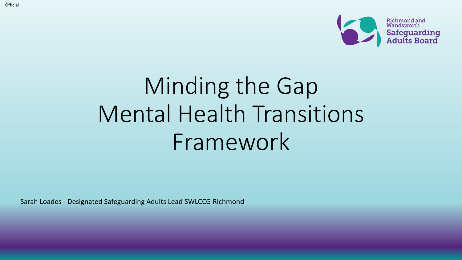

# Minding the Gap Mental Health Transitions Framework

Sarah Loades - Designated Safeguarding Adults Lead SWLCCG Richmond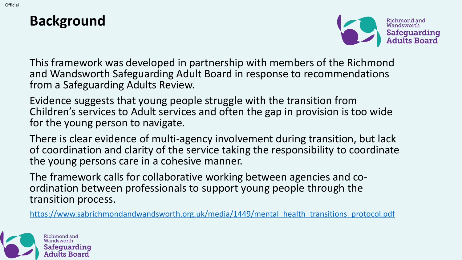#### **Background**



This framework was developed in partnership with members of the Richmond and Wandsworth Safeguarding Adult Board in response to recommendations from a Safeguarding Adults Review.

Evidence suggests that young people struggle with the transition from Children's services to Adult services and often the gap in provision is too wide for the young person to navigate.

There is clear evidence of multi-agency involvement during transition, but lack of coordination and clarity of the service taking the responsibility to coordinate the young persons care in a cohesive manner.

The framework calls for collaborative working between agencies and coordination between professionals to support young people through the transition process.

[https://www.sabrichmondandwandsworth.org.uk/media/1449/mental\\_health\\_transitions\\_protocol.pdf](https://www.sabrichmondandwandsworth.org.uk/media/1449/mental_health_transitions_protocol.pdf)

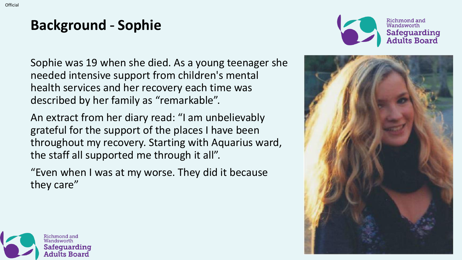# **Background** - **Sophie**



Sophie was 19 when she died. As a young teenager she needed intensive support from children's mental health services and her recovery each time was described by her family as "remarkable".

An extract from her diary read: "I am unbelievably grateful for the support of the places I have been throughout my recovery. Starting with Aquarius ward, the staff all supported me through it all".

"Even when I was at my worse. They did it because they care"



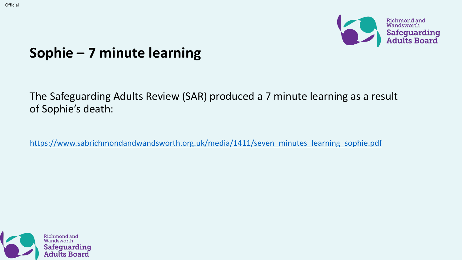

#### **Sophie – 7 minute learning**

The Safeguarding Adults Review (SAR) produced a 7 minute learning as a result of Sophie's death:

[https://www.sabrichmondandwandsworth.org.uk/media/1411/seven\\_minutes\\_learning\\_sophie.pdf](https://www.sabrichmondandwandsworth.org.uk/media/1411/seven_minutes_learning_sophie.pdf)

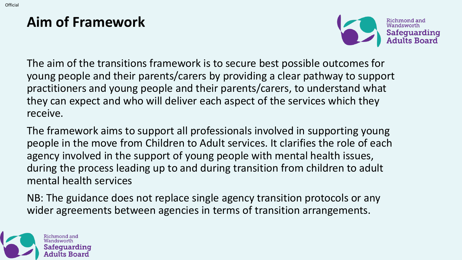### **Aim of Framework**



The aim of the transitions framework is to secure best possible outcomes for young people and their parents/carers by providing a clear pathway to support practitioners and young people and their parents/carers, to understand what they can expect and who will deliver each aspect of the services which they receive.

The framework aims to support all professionals involved in supporting young people in the move from Children to Adult services. It clarifies the role of each agency involved in the support of young people with mental health issues, during the process leading up to and during transition from children to adult mental health services

NB: The guidance does not replace single agency transition protocols or any wider agreements between agencies in terms of transition arrangements.

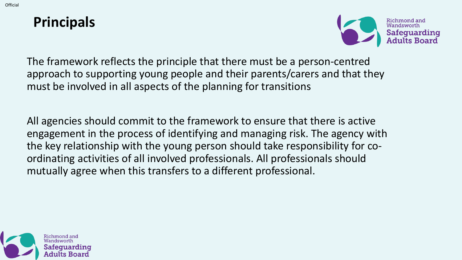#### **Principals**



The framework reflects the principle that there must be a person-centred approach to supporting young people and their parents/carers and that they must be involved in all aspects of the planning for transitions

All agencies should commit to the framework to ensure that there is active engagement in the process of identifying and managing risk. The agency with the key relationship with the young person should take responsibility for coordinating activities of all involved professionals. All professionals should mutually agree when this transfers to a different professional.

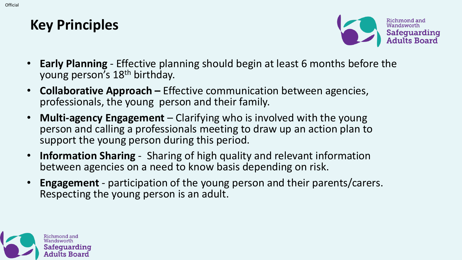Official



- **Early Planning**  Effective planning should begin at least 6 months before the young person's 18th birthday.
- **Collaborative Approach –** Effective communication between agencies, professionals, the young person and their family.
- **Multi-agency Engagement** Clarifying who is involved with the young person and calling a professionals meeting to draw up an action plan to support the young person during this period.
- **Information Sharing**  Sharing of high quality and relevant information between agencies on a need to know basis depending on risk.
- **Engagement** participation of the young person and their parents/carers. Respecting the young person is an adult.

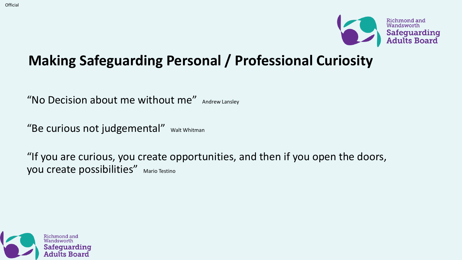

## **Making Safeguarding Personal / Professional Curiosity**

"No Decision about me without me" Andrew Lansley

"Be curious not judgemental" Walt Whitman

"If you are curious, you create opportunities, and then if you open the doors, you create possibilities" Mario Testino